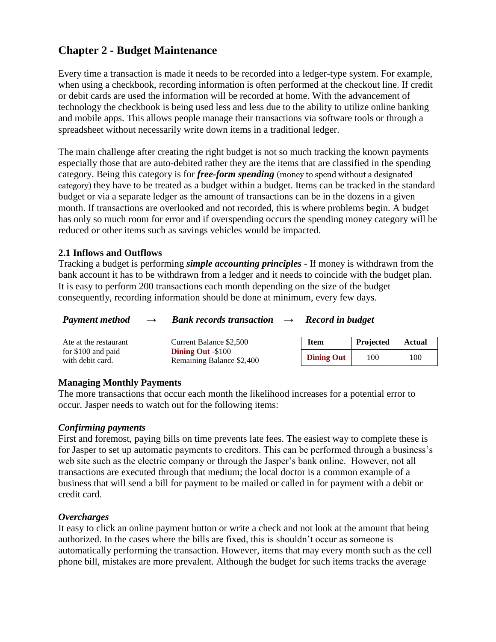# **Chapter 2 - Budget Maintenance**

Every time a transaction is made it needs to be recorded into a ledger-type system. For example, when using a checkbook, recording information is often performed at the checkout line. If credit or debit cards are used the information will be recorded at home. With the advancement of technology the checkbook is being used less and less due to the ability to utilize online banking and mobile apps. This allows people manage their transactions via software tools or through a spreadsheet without necessarily write down items in a traditional ledger.

The main challenge after creating the right budget is not so much tracking the known payments especially those that are auto-debited rather they are the items that are classified in the spending category. Being this category is for *free-form spending* (money to spend without a designated category) they have to be treated as a budget within a budget. Items can be tracked in the standard budget or via a separate ledger as the amount of transactions can be in the dozens in a given month. If transactions are overlooked and not recorded, this is where problems begin. A budget has only so much room for error and if overspending occurs the spending money category will be reduced or other items such as savings vehicles would be impacted.

#### **2.1 Inflows and Outflows**

Tracking a budget is performing *simple accounting principles* - If money is withdrawn from the bank account it has to be withdrawn from a ledger and it needs to coincide with the budget plan. It is easy to perform 200 transactions each month depending on the size of the budget consequently, recording information should be done at minimum, every few days.

| <b>Payment method</b><br>$\rightarrow$ | <b>Bank records transaction</b> | $\rightarrow$ | Record in budget |
|----------------------------------------|---------------------------------|---------------|------------------|
|----------------------------------------|---------------------------------|---------------|------------------|

| Ate at the restaurant                   | Current Balance \$2,500                               | <b>Item</b>       | Projected | <b>Actual</b> |
|-----------------------------------------|-------------------------------------------------------|-------------------|-----------|---------------|
| for $$100$ and paid<br>with debit card. | <b>Dining Out -\$100</b><br>Remaining Balance \$2,400 | <b>Dining Out</b> | 100       | 100           |

#### **Managing Monthly Payments**

The more transactions that occur each month the likelihood increases for a potential error to occur. Jasper needs to watch out for the following items:

#### *Confirming payments*

First and foremost, paying bills on time prevents late fees. The easiest way to complete these is for Jasper to set up automatic payments to creditors. This can be performed through a business's web site such as the electric company or through the Jasper's bank online. However, not all transactions are executed through that medium; the local doctor is a common example of a business that will send a bill for payment to be mailed or called in for payment with a debit or credit card.

#### *Overcharges*

It easy to click an online payment button or write a check and not look at the amount that being authorized. In the cases where the bills are fixed, this is shouldn't occur as someone is automatically performing the transaction. However, items that may every month such as the cell phone bill, mistakes are more prevalent. Although the budget for such items tracks the average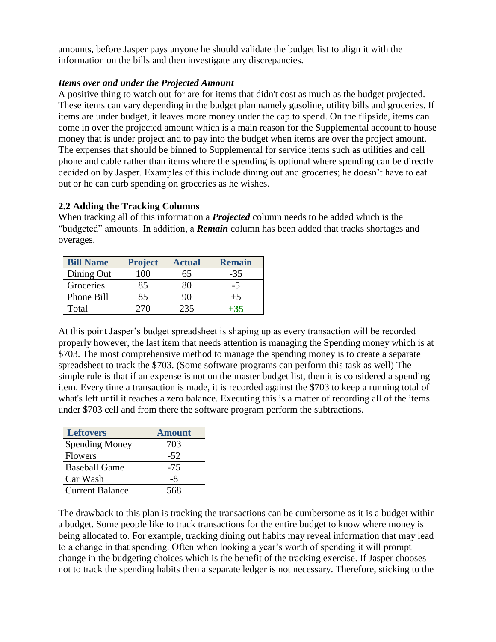amounts, before Jasper pays anyone he should validate the budget list to align it with the information on the bills and then investigate any discrepancies.

#### *Items over and under the Projected Amount*

A positive thing to watch out for are for items that didn't cost as much as the budget projected. These items can vary depending in the budget plan namely gasoline, utility bills and groceries. If items are under budget, it leaves more money under the cap to spend. On the flipside, items can come in over the projected amount which is a main reason for the Supplemental account to house money that is under project and to pay into the budget when items are over the project amount. The expenses that should be binned to Supplemental for service items such as utilities and cell phone and cable rather than items where the spending is optional where spending can be directly decided on by Jasper. Examples of this include dining out and groceries; he doesn't have to eat out or he can curb spending on groceries as he wishes.

# **2.2 Adding the Tracking Columns**

When tracking all of this information a *Projected* column needs to be added which is the "budgeted" amounts. In addition, a *Remain* column has been added that tracks shortages and overages.

| <b>Bill Name</b> | <b>Project</b> | <b>Actual</b> | <b>Remain</b> |
|------------------|----------------|---------------|---------------|
| Dining Out       | $00^{\circ}$   | 65            | $-35$         |
| Groceries        | 85             |               | -5            |
| Phone Bill       | 85             | 90            | $+5$          |
| Total            |                | 235           | $+35$         |

At this point Jasper's budget spreadsheet is shaping up as every transaction will be recorded properly however, the last item that needs attention is managing the Spending money which is at \$703. The most comprehensive method to manage the spending money is to create a separate spreadsheet to track the \$703. (Some software programs can perform this task as well) The simple rule is that if an expense is not on the master budget list, then it is considered a spending item. Every time a transaction is made, it is recorded against the \$703 to keep a running total of what's left until it reaches a zero balance. Executing this is a matter of recording all of the items under \$703 cell and from there the software program perform the subtractions.

| <b>Leftovers</b>       | <b>Amount</b> |
|------------------------|---------------|
| <b>Spending Money</b>  | 703           |
| <b>Flowers</b>         | $-52$         |
| <b>Baseball Game</b>   | $-75$         |
| Car Wash               | -8            |
| <b>Current Balance</b> | 568           |

The drawback to this plan is tracking the transactions can be cumbersome as it is a budget within a budget. Some people like to track transactions for the entire budget to know where money is being allocated to. For example, tracking dining out habits may reveal information that may lead to a change in that spending. Often when looking a year's worth of spending it will prompt change in the budgeting choices which is the benefit of the tracking exercise. If Jasper chooses not to track the spending habits then a separate ledger is not necessary. Therefore, sticking to the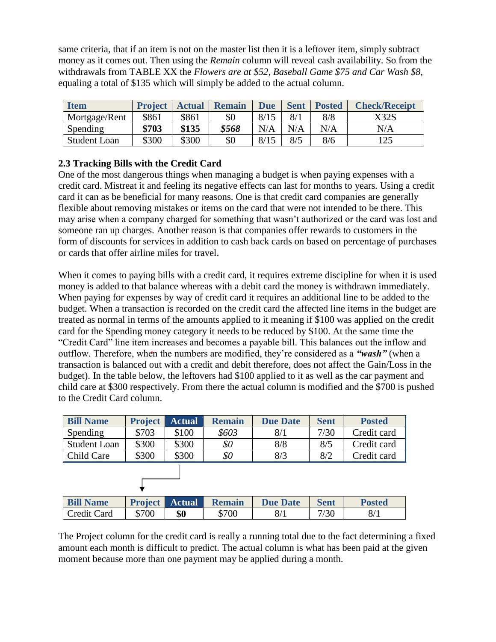same criteria, that if an item is not on the master list then it is a leftover item, simply subtract money as it comes out. Then using the *Remain* column will reveal cash availability. So from the withdrawals from TABLE XX the *Flowers are at \$52, Baseball Game \$75 and Car Wash \$8,*  equaling a total of \$135 which will simply be added to the actual column.

| <b>Item</b>         | <b>Project</b> | <b>Actual</b> | <b>Remain</b> | <b>Due</b> | <b>Sent</b> | <b>Posted</b> | <b>Check/Receipt</b> |
|---------------------|----------------|---------------|---------------|------------|-------------|---------------|----------------------|
| Mortgage/Rent       | \$861          | \$861         | \$0           | 8/15       | 8/1         | 8/8           | X32S                 |
| Spending            | \$703          | \$135         | \$568         | N/A        | N/A         | N/A           | N/A                  |
| <b>Student Loan</b> | \$300          | \$300         | \$0           | 8/15       | 8/5         | 8/6           | 125                  |

# **2.3 Tracking Bills with the Credit Card**

One of the most dangerous things when managing a budget is when paying expenses with a credit card. Mistreat it and feeling its negative effects can last for months to years. Using a credit card it can as be beneficial for many reasons. One is that credit card companies are generally flexible about removing mistakes or items on the card that were not intended to be there. This may arise when a company charged for something that wasn't authorized or the card was lost and someone ran up charges. Another reason is that companies offer rewards to customers in the form of discounts for services in addition to cash back cards on based on percentage of purchases or cards that offer airline miles for travel.

When it comes to paying bills with a credit card, it requires extreme discipline for when it is used money is added to that balance whereas with a debit card the money is withdrawn immediately. When paying for expenses by way of credit card it requires an additional line to be added to the budget. When a transaction is recorded on the credit card the affected line items in the budget are treated as normal in terms of the amounts applied to it meaning if \$100 was applied on the credit card for the Spending money category it needs to be reduced by \$100. At the same time the "Credit Card" line item increases and becomes a payable bill. This balances out the inflow and outflow. Therefore, when the numbers are modified, they're considered as a *"wash"* (when a transaction is balanced out with a credit and debit therefore, does not affect the Gain/Loss in the budget). In the table below, the leftovers had \$100 applied to it as well as the car payment and child care at \$300 respectively. From there the actual column is modified and the \$700 is pushed to the Credit Card column.

| <b>Bill Name</b>    | <b>Project</b> | <b>Actual</b> | <b>Remain</b> | <b>Due Date</b> | <b>Sent</b> | <b>Posted</b> |  |
|---------------------|----------------|---------------|---------------|-----------------|-------------|---------------|--|
| Spending            | \$703          | \$100         | \$603         | 8/1             | 7/30        | Credit card   |  |
| <b>Student Loan</b> | \$300          | \$300         | \$0           | 8/8             | 8/5         | Credit card   |  |
| Child Care          | \$300          | \$300         | \$0           | 8/3             | 8/2         | Credit card   |  |
|                     |                |               |               |                 |             |               |  |
| <b>Bill Name</b>    | <b>Project</b> | <b>Actual</b> | <b>Remain</b> | <b>Due Date</b> | <b>Sent</b> | <b>Posted</b> |  |
| Credit Card         | \$700          | \$0           | \$700         | 8/1             | 7/30        | 8/1           |  |

The Project column for the credit card is really a running total due to the fact determining a fixed amount each month is difficult to predict. The actual column is what has been paid at the given moment because more than one payment may be applied during a month.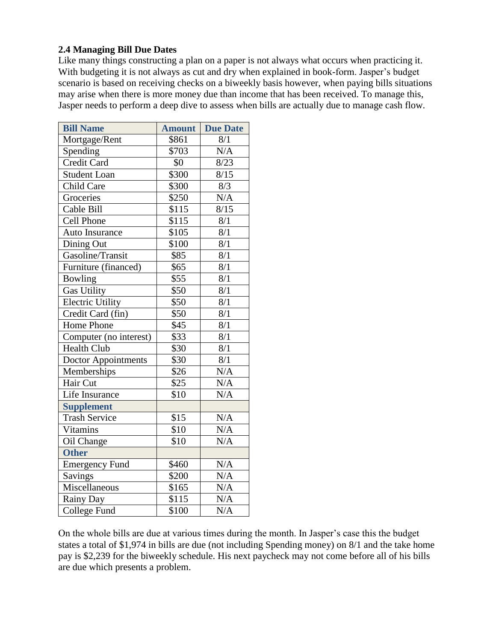# **2.4 Managing Bill Due Dates**

Like many things constructing a plan on a paper is not always what occurs when practicing it. With budgeting it is not always as cut and dry when explained in book-form. Jasper's budget scenario is based on receiving checks on a biweekly basis however, when paying bills situations may arise when there is more money due than income that has been received. To manage this, Jasper needs to perform a deep dive to assess when bills are actually due to manage cash flow.

| <b>Bill Name</b>           | <b>Amount</b>     | <b>Due Date</b> |
|----------------------------|-------------------|-----------------|
| Mortgage/Rent              | \$861             | 8/1             |
| Spending                   | \$703             | N/A             |
| <b>Credit Card</b>         | \$0               | 8/23            |
| <b>Student Loan</b>        | \$300             | 8/15            |
| Child Care                 | \$300             | 8/3             |
| Groceries                  | \$250             | N/A             |
| Cable Bill                 | \$115             | 8/15            |
| Cell Phone                 | $\overline{$}115$ | 8/1             |
| Auto Insurance             | \$105             | 8/1             |
| Dining Out                 | \$100             | 8/1             |
| Gasoline/Transit           | \$85              | 8/1             |
| Furniture (financed)       | \$65              | 8/1             |
| Bowling                    | \$55              | 8/1             |
| <b>Gas Utility</b>         | \$50              | 8/1             |
| <b>Electric Utility</b>    | \$50              | 8/1             |
| Credit Card (fin)          | \$50              | 8/1             |
| Home Phone                 | \$45              | 8/1             |
| Computer (no interest)     | \$33              | 8/1             |
| <b>Health Club</b>         | \$30              | 8/1             |
| <b>Doctor Appointments</b> | \$30              | 8/1             |
| Memberships                | \$26              | N/A             |
| Hair Cut                   | \$25              | N/A             |
| Life Insurance             | \$10              | N/A             |
| <b>Supplement</b>          |                   |                 |
| <b>Trash Service</b>       | \$15              | N/A             |
| <b>Vitamins</b>            | \$10              | N/A             |
| Oil Change                 | \$10              | N/A             |
| <b>Other</b>               |                   |                 |
| <b>Emergency Fund</b>      | \$460             | N/A             |
| Savings                    | \$200             | N/A             |
| Miscellaneous              | \$165             | N/A             |
| Rainy Day                  | \$115             | N/A             |
| College Fund               | \$100             | N/A             |

On the whole bills are due at various times during the month. In Jasper's case this the budget states a total of \$1,974 in bills are due (not including Spending money) on 8/1 and the take home pay is \$2,239 for the biweekly schedule. His next paycheck may not come before all of his bills are due which presents a problem.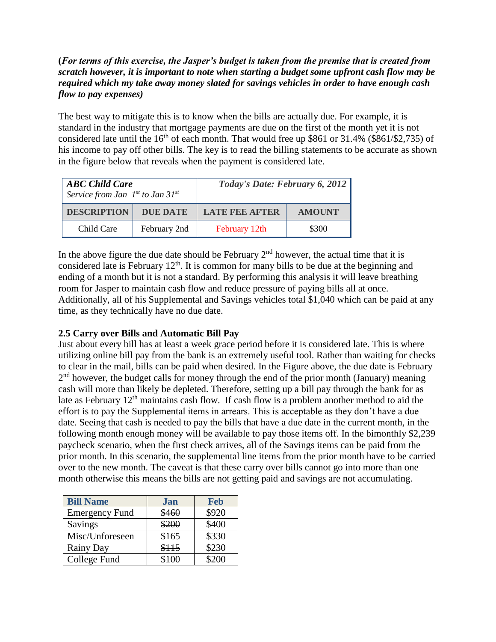# **(***For terms of this exercise, the Jasper's budget is taken from the premise that is created from scratch however, it is important to note when starting a budget some upfront cash flow may be required which my take away money slated for savings vehicles in order to have enough cash flow to pay expenses)*

The best way to mitigate this is to know when the bills are actually due. For example, it is standard in the industry that mortgage payments are due on the first of the month yet it is not considered late until the  $16<sup>th</sup>$  of each month. That would free up \$861 or 31.4% (\$861/\$2,735) of his income to pay off other bills. The key is to read the billing statements to be accurate as shown in the figure below that reveals when the payment is considered late.

| <b>ABC Child Care</b><br>Service from Jan $1^{st}$ to Jan $31^{st}$ |                 | Today's Date: February 6, 2012 |               |  |
|---------------------------------------------------------------------|-----------------|--------------------------------|---------------|--|
| <b>DESCRIPTION</b>                                                  | <b>DUE DATE</b> | <b>LATE FEE AFTER</b>          | <b>AMOUNT</b> |  |
| Child Care                                                          | February 2nd    | February 12th                  | \$300         |  |

In the above figure the due date should be February  $2<sup>nd</sup>$  however, the actual time that it is considered late is February  $12<sup>th</sup>$ . It is common for many bills to be due at the beginning and ending of a month but it is not a standard. By performing this analysis it will leave breathing room for Jasper to maintain cash flow and reduce pressure of paying bills all at once. Additionally, all of his Supplemental and Savings vehicles total \$1,040 which can be paid at any time, as they technically have no due date.

# **2.5 Carry over Bills and Automatic Bill Pay**

Just about every bill has at least a week grace period before it is considered late. This is where utilizing online bill pay from the bank is an extremely useful tool. Rather than waiting for checks to clear in the mail, bills can be paid when desired. In the Figure above, the due date is February 2<sup>nd</sup> however, the budget calls for money through the end of the prior month (January) meaning cash will more than likely be depleted. Therefore, setting up a bill pay through the bank for as late as February 12<sup>th</sup> maintains cash flow. If cash flow is a problem another method to aid the effort is to pay the Supplemental items in arrears. This is acceptable as they don't have a due date. Seeing that cash is needed to pay the bills that have a due date in the current month, in the following month enough money will be available to pay those items off. In the bimonthly \$2,239 paycheck scenario, when the first check arrives, all of the Savings items can be paid from the prior month. In this scenario, the supplemental line items from the prior month have to be carried over to the new month. The caveat is that these carry over bills cannot go into more than one month otherwise this means the bills are not getting paid and savings are not accumulating.

| <b>Bill Name</b>      | Jan   | <b>Feb</b> |
|-----------------------|-------|------------|
| <b>Emergency Fund</b> | \$460 | \$920      |
| Savings               | \$200 | \$400      |
| Misc/Unforeseen       | \$165 | \$330      |
| Rainy Day             | \$115 | \$230      |
| College Fund          |       | \$200      |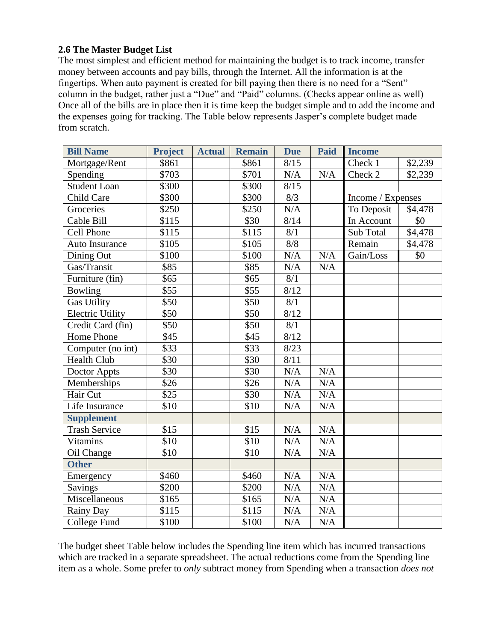### **2.6 The Master Budget List**

The most simplest and efficient method for maintaining the budget is to track income, transfer money between accounts and pay bills, through the Internet. All the information is at the fingertips. When auto payment is created for bill paying then there is no need for a "Sent" column in the budget, rather just a "Due" and "Paid" columns. (Checks appear online as well) Once all of the bills are in place then it is time keep the budget simple and to add the income and the expenses going for tracking. The Table below represents Jasper's complete budget made from scratch.

| <b>Bill Name</b>        | <b>Project</b>    | <b>Actual</b> | <b>Remain</b>    | <b>Due</b> | <b>Paid</b> | <b>Income</b>     |         |
|-------------------------|-------------------|---------------|------------------|------------|-------------|-------------------|---------|
| Mortgage/Rent           | \$861             |               | \$861            | 8/15       |             | Check 1           | \$2,239 |
| Spending                | \$703             |               | \$701            | N/A        | N/A         | Check 2           | \$2,239 |
| <b>Student Loan</b>     | \$300             |               | \$300            | 8/15       |             |                   |         |
| Child Care              | \$300             |               | \$300            | 8/3        |             | Income / Expenses |         |
| Groceries               | \$250             |               | \$250            | N/A        |             | To Deposit        | \$4,478 |
| Cable Bill              | \$115             |               | $\overline{$}30$ | 8/14       |             | In Account        | \$0     |
| <b>Cell Phone</b>       | \$115             |               | \$115            | 8/1        |             | Sub Total         | \$4,478 |
| Auto Insurance          | \$105             |               | \$105            | 8/8        |             | Remain            | \$4,478 |
| Dining Out              | \$100             |               | \$100            | N/A        | N/A         | Gain/Loss         | \$0     |
| Gas/Transit             | \$85              |               | \$85             | N/A        | N/A         |                   |         |
| Furniture (fin)         | \$65              |               | \$65             | 8/1        |             |                   |         |
| <b>Bowling</b>          | \$55              |               | \$55             | 8/12       |             |                   |         |
| Gas Utility             | \$50              |               | \$50             | 8/1        |             |                   |         |
| <b>Electric Utility</b> | \$50              |               | \$50             | 8/12       |             |                   |         |
| Credit Card (fin)       | \$50              |               | \$50             | 8/1        |             |                   |         |
| Home Phone              | \$45              |               | \$45             | 8/12       |             |                   |         |
| Computer (no int)       | \$33              |               | \$33             | 8/23       |             |                   |         |
| Health Club             | \$30              |               | \$30             | 8/11       |             |                   |         |
| Doctor Appts            | \$30              |               | \$30             | N/A        | N/A         |                   |         |
| Memberships             | \$26              |               | \$26             | N/A        | N/A         |                   |         |
| Hair Cut                | \$25              |               | $\overline{$}30$ | N/A        | N/A         |                   |         |
| Life Insurance          | \$10              |               | \$10             | N/A        | N/A         |                   |         |
| <b>Supplement</b>       |                   |               |                  |            |             |                   |         |
| <b>Trash Service</b>    | \$15              |               | \$15             | N/A        | N/A         |                   |         |
| <b>Vitamins</b>         | \$10              |               | \$10             | N/A        | N/A         |                   |         |
| Oil Change              | \$10              |               | \$10             | N/A        | N/A         |                   |         |
| <b>Other</b>            |                   |               |                  |            |             |                   |         |
| Emergency               | \$460             |               | \$460            | N/A        | N/A         |                   |         |
| Savings                 | $\overline{$}200$ |               | \$200            | N/A        | N/A         |                   |         |
| Miscellaneous           | \$165             |               | \$165            | N/A        | N/A         |                   |         |
| Rainy Day               | \$115             |               | \$115            | N/A        | N/A         |                   |         |
| College Fund            | \$100             |               | \$100            | N/A        | N/A         |                   |         |

The budget sheet Table below includes the Spending line item which has incurred transactions which are tracked in a separate spreadsheet. The actual reductions come from the Spending line item as a whole. Some prefer to *only* subtract money from Spending when a transaction *does not*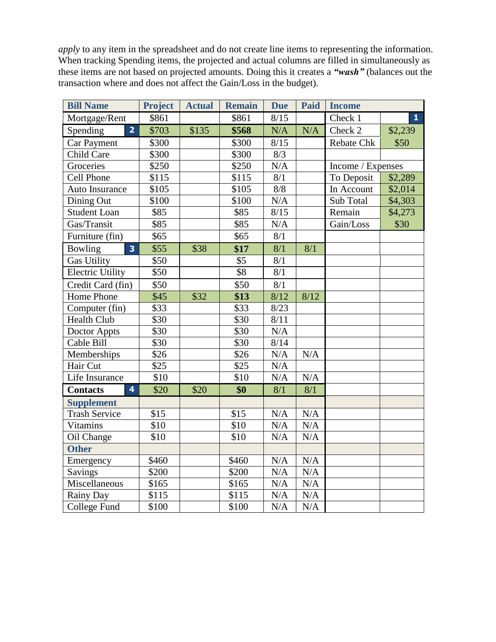*apply* to any item in the spreadsheet and do not create line items to representing the information. When tracking Spending items, the projected and actual columns are filled in simultaneously as these items are not based on projected amounts. Doing this it creates a *"wash"* (balances out the transaction where and does not affect the Gain/Loss in the budget).

| <b>Bill Name</b>                           | <b>Project</b>   | <b>Actual</b> | <b>Remain</b>     | <b>Due</b> | Paid      | <b>Income</b>     |              |
|--------------------------------------------|------------------|---------------|-------------------|------------|-----------|-------------------|--------------|
| Mortgage/Rent                              | \$861            |               | \$861             | 8/15       |           | Check 1           | $\mathbf{1}$ |
| $\overline{2}$<br>Spending                 | \$703            | \$135         | \$568             | N/A        | N/A       | Check 2           | \$2,239      |
| <b>Car Payment</b>                         | \$300            |               | \$300             | 8/15       |           | <b>Rebate Chk</b> | \$50         |
| Child Care                                 | \$300            |               | \$300             | 8/3        |           |                   |              |
| Groceries                                  | \$250            |               | \$250             | N/A        |           | Income / Expenses |              |
| <b>Cell Phone</b>                          | \$115            |               | \$115             | 8/1        |           | To Deposit        | \$2,289      |
| Auto Insurance                             | \$105            |               | \$105             | 8/8        |           | In Account        | \$2,014      |
| Dining Out                                 | \$100            |               | \$100             | N/A        |           | Sub Total         | \$4,303      |
| <b>Student Loan</b>                        | \$85             |               | \$85              | 8/15       |           | Remain            | \$4,273      |
| Gas/Transit                                | \$85             |               | \$85              | N/A        |           | Gain/Loss         | \$30         |
| Furniture (fin)                            | \$65             |               | \$65              | 8/1        |           |                   |              |
| Bowling<br>$\overline{\mathbf{3}}$         | \$55             | \$38          | \$17              | 8/1        | 8/1       |                   |              |
| <b>Gas Utility</b>                         | \$50             |               | \$5               | 8/1        |           |                   |              |
| <b>Electric Utility</b>                    | \$50             |               | \$8               | 8/1        |           |                   |              |
| Credit Card (fin)                          | \$50             |               | \$50              | 8/1        |           |                   |              |
| Home Phone                                 | \$45             | \$32          | \$13              | 8/12       | 8/12      |                   |              |
| Computer (fin)                             | \$33             |               | \$33              | 8/23       |           |                   |              |
| <b>Health Club</b>                         | \$30             |               | \$30              | 8/11       |           |                   |              |
| Doctor Appts                               | $\overline{$}30$ |               | \$30              | N/A        |           |                   |              |
| Cable Bill                                 | \$30             |               | \$30              | 8/14       |           |                   |              |
| Memberships                                | \$26             |               | \$26              | N/A        | N/A       |                   |              |
| Hair Cut                                   | \$25             |               | \$25              | $\rm N/A$  |           |                   |              |
| Life Insurance                             | \$10             |               | \$10              | N/A        | N/A       |                   |              |
| $\overline{\mathbf{4}}$<br><b>Contacts</b> | \$20             | \$20          | \$0               | 8/1        | 8/1       |                   |              |
| <b>Supplement</b>                          |                  |               |                   |            |           |                   |              |
| <b>Trash Service</b>                       | \$15             |               | \$15              | N/A        | N/A       |                   |              |
| Vitamins                                   | \$10             |               | \$10              | N/A        | N/A       |                   |              |
| Oil Change                                 | \$10             |               | \$10              | N/A        | N/A       |                   |              |
| <b>Other</b>                               |                  |               |                   |            |           |                   |              |
| Emergency                                  | \$460            |               | \$460             | N/A        | N/A       |                   |              |
| Savings                                    | \$200            |               | \$200             | N/A        | N/A       |                   |              |
| Miscellaneous                              | \$165            |               | \$165             | $\rm N/A$  | $\rm N/A$ |                   |              |
| Rainy Day                                  | \$115            |               | \$115             | N/A        | N/A       |                   |              |
| College Fund                               | \$100            |               | $\overline{$}100$ | N/A        | N/A       |                   |              |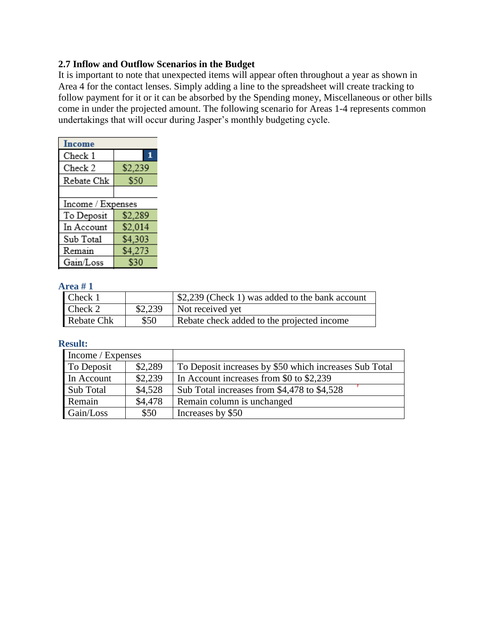#### **2.7 Inflow and Outflow Scenarios in the Budget**

It is important to note that unexpected items will appear often throughout a year as shown in Area 4 for the contact lenses. Simply adding a line to the spreadsheet will create tracking to follow payment for it or it can be absorbed by the Spending money, Miscellaneous or other bills come in under the projected amount. The following scenario for Areas 1-4 represents common undertakings that will occur during Jasper's monthly budgeting cycle.

| <b>Income</b>     |         |
|-------------------|---------|
| Check 1           | 1       |
| Check 2           | \$2,239 |
| Rebate Chk        | \$50    |
|                   |         |
| Income / Expenses |         |
| To Deposit        | \$2,289 |
| In Account        | \$2,014 |
| Sub Total         | \$4,303 |
| Remain            | \$4,273 |
| Gain/Loss         | \$30    |

#### **Area # 1**

| Check 1    |         | \$2,239 (Check 1) was added to the bank account |
|------------|---------|-------------------------------------------------|
| Check 2    | \$2,239 | Not received yet                                |
| Rebate Chk | \$50    | Rebate check added to the projected income      |

#### **Result:**

| Income / Expenses |         |                                                        |  |
|-------------------|---------|--------------------------------------------------------|--|
| To Deposit        | \$2,289 | To Deposit increases by \$50 which increases Sub Total |  |
| In Account        | \$2,239 | In Account increases from \$0 to \$2,239               |  |
| <b>Sub Total</b>  | \$4,528 | Sub Total increases from \$4,478 to \$4,528            |  |
| Remain            | \$4,478 | Remain column is unchanged                             |  |
| Gain/Loss         | \$50    | Increases by \$50                                      |  |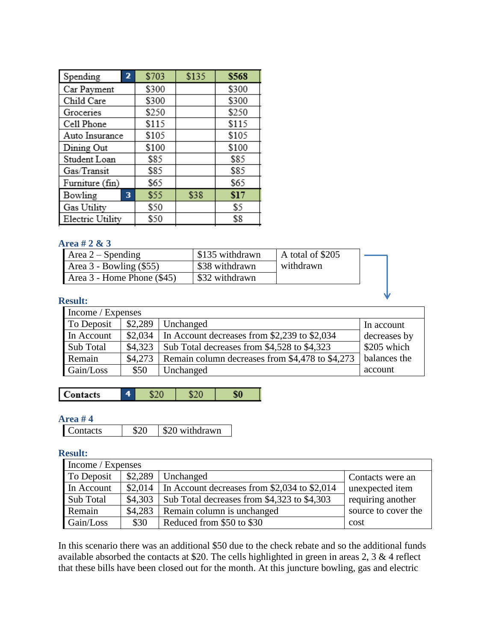| Spending         | 2 | \$703 | \$135 | \$568 |
|------------------|---|-------|-------|-------|
| Car Payment      |   | \$300 |       | \$300 |
| Child Care       |   | \$300 |       | \$300 |
| Groceries        |   | \$250 |       | \$250 |
| Cell Phone       |   | \$115 |       | \$115 |
| Auto Insurance   |   | \$105 |       | \$105 |
| Dining Out       |   | \$100 |       | \$100 |
| Student Loan     |   | \$85  |       | \$85  |
| Gas/Transit      |   | \$85  |       | \$85  |
| Furniture (fin)  |   | \$65  |       | \$65  |
| Bowling          | 3 | \$55  | \$38  | \$17  |
| Gas Utility      |   | \$50  |       | \$5   |
| Electric Utility |   | \$50  |       | \$8   |

### **Area # 2 & 3**

| Area $2$ – Spending         | \$135 withdrawn | A total of \$205 |  |
|-----------------------------|-----------------|------------------|--|
| Area $3$ - Bowling $(\$55)$ | \$38 withdrawn  | withdrawn        |  |
| Area 3 - Home Phone (\$45)  | \$32 withdrawn  |                  |  |

#### **Result:**

| Income / Expenses |         |                                                 |              |
|-------------------|---------|-------------------------------------------------|--------------|
| To Deposit        | \$2,289 | Unchanged                                       | In account   |
| In Account        | \$2,034 | In Account decreases from \$2,239 to \$2,034    | decreases by |
| Sub Total         | \$4,323 | Sub Total decreases from \$4,528 to \$4,323     | \$205 which  |
| Remain            | \$4,273 | Remain column decreases from \$4,478 to \$4,273 | balances the |
| Gain/Loss         | \$50    | Unchanged                                       | account      |

| `ontacts<br>۰ |
|---------------|
|---------------|

## **Area # 4**

| \$20 withdrawn<br>Contacts | _______ |  |
|----------------------------|---------|--|
|                            |         |  |

#### **Result:**

| Income / Expenses |         |                                              |                     |
|-------------------|---------|----------------------------------------------|---------------------|
| To Deposit        | \$2,289 | Unchanged                                    | Contacts were an    |
| In Account        | \$2,014 | In Account decreases from \$2,034 to \$2,014 | unexpected item     |
| Sub Total         | \$4,303 | Sub Total decreases from \$4,323 to \$4,303  | requiring another   |
| Remain            | \$4,283 | Remain column is unchanged                   | source to cover the |
| Gain/Loss         | \$30    | Reduced from \$50 to \$30                    | cost                |

In this scenario there was an additional \$50 due to the check rebate and so the additional funds available absorbed the contacts at \$20. The cells highlighted in green in areas 2, 3 & 4 reflect that these bills have been closed out for the month. At this juncture bowling, gas and electric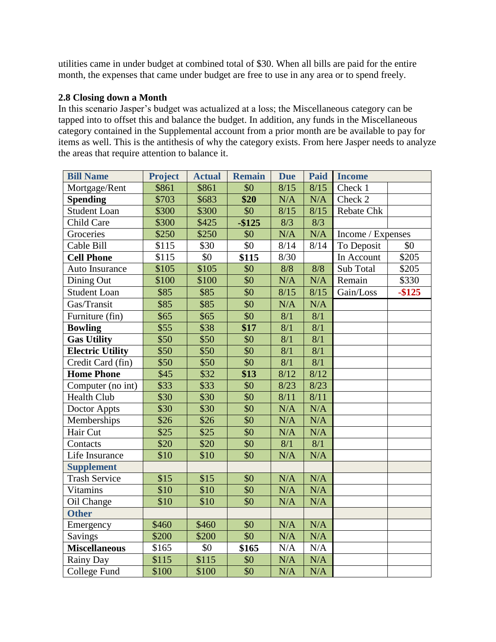utilities came in under budget at combined total of \$30. When all bills are paid for the entire month, the expenses that came under budget are free to use in any area or to spend freely.

# **2.8 Closing down a Month**

In this scenario Jasper's budget was actualized at a loss; the Miscellaneous category can be tapped into to offset this and balance the budget. In addition, any funds in the Miscellaneous category contained in the Supplemental account from a prior month are be available to pay for items as well. This is the antithesis of why the category exists. From here Jasper needs to analyze the areas that require attention to balance it.

| <b>Bill Name</b>        | <b>Project</b>   | <b>Actual</b>    | <b>Remain</b>   | <b>Due</b>       | Paid      | <b>Income</b>     |           |
|-------------------------|------------------|------------------|-----------------|------------------|-----------|-------------------|-----------|
| Mortgage/Rent           | \$861            | \$861            | \$0             | 8/15             | 8/15      | Check 1           |           |
| <b>Spending</b>         | \$703            | \$683            | \$20            | N/A              | N/A       | Check 2           |           |
| <b>Student Loan</b>     | \$300            | \$300            | \$0             | 8/15             | 8/15      | <b>Rebate Chk</b> |           |
| Child Care              | \$300            | \$425            | $-$ \$125       | 8/3              | 8/3       |                   |           |
| Groceries               | \$250            | \$250            | \$0             | N/A              | N/A       | Income / Expenses |           |
| Cable Bill              | \$115            | \$30             | \$0             | 8/14             | 8/14      | To Deposit        | \$0       |
| <b>Cell Phone</b>       | \$115            | \$0              | \$115           | 8/30             |           | In Account        | \$205     |
| Auto Insurance          | \$105            | \$105            | \$0             | 8/8              | 8/8       | Sub Total         | \$205     |
| Dining Out              | \$100            | \$100            | $\overline{50}$ | N/A              | N/A       | Remain            | \$330     |
| <b>Student Loan</b>     | \$85             | \$85             | \$0             | 8/15             | 8/15      | Gain/Loss         | $-$ \$125 |
| Gas/Transit             | \$85             | \$85             | \$0             | N/A              | N/A       |                   |           |
| Furniture (fin)         | \$65             | $\overline{$65}$ | $\overline{50}$ | $\overline{8/1}$ | 8/1       |                   |           |
| <b>Bowling</b>          | \$55             | \$38             | \$17            | 8/1              | 8/1       |                   |           |
| <b>Gas Utility</b>      | \$50             | \$50             | \$0             | 8/1              | 8/1       |                   |           |
| <b>Electric Utility</b> | \$50             | \$50             | \$0             | 8/1              | 8/1       |                   |           |
| Credit Card (fin)       | \$50             | $\overline{$}50$ | $\overline{50}$ | $\overline{8/1}$ | 8/1       |                   |           |
| <b>Home Phone</b>       | \$45             | $\sqrt{$32}$     | \$13            | 8/12             | 8/12      |                   |           |
| Computer (no int)       | \$33             | \$33             | \$0             | 8/23             | 8/23      |                   |           |
| <b>Health Club</b>      | \$30             | \$30             | \$0             | 8/11             | 8/11      |                   |           |
| Doctor Appts            | \$30             | \$30             | \$0             | N/A              | N/A       |                   |           |
| Memberships             | \$26             | \$26             | \$0             | N/A              | N/A       |                   |           |
| Hair Cut                | $\overline{$}25$ | $\overline{$}25$ | $\overline{$}0$ | N/A              | N/A       |                   |           |
| Contacts                | \$20             | \$20             | \$0             | 8/1              | 8/1       |                   |           |
| Life Insurance          | \$10             | \$10             | $\overline{50}$ | N/A              | N/A       |                   |           |
| <b>Supplement</b>       |                  |                  |                 |                  |           |                   |           |
| <b>Trash Service</b>    | \$15             | \$15             | \$0             | N/A              | N/A       |                   |           |
| <b>Vitamins</b>         | \$10             | \$10             | \$0             | N/A              | N/A       |                   |           |
| Oil Change              | \$10             | \$10             | \$0             | N/A              | N/A       |                   |           |
| <b>Other</b>            |                  |                  |                 |                  |           |                   |           |
| Emergency               | \$460            | \$460            | \$0             | N/A              | N/A       |                   |           |
| Savings                 | \$200            | \$200            | $\overline{50}$ | N/A              | N/A       |                   |           |
| <b>Miscellaneous</b>    | \$165            | \$0              | \$165           | N/A              | $\rm N/A$ |                   |           |
| Rainy Day               | \$115            | \$115            | \$0             | N/A              | N/A       |                   |           |
| College Fund            | \$100            | \$100            | \$0             | N/A              | N/A       |                   |           |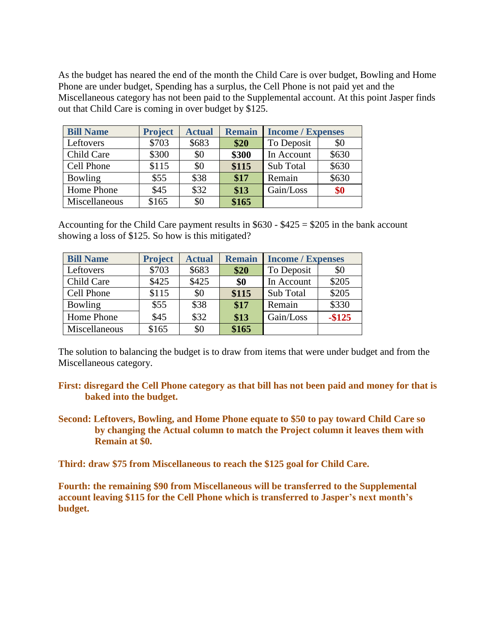As the budget has neared the end of the month the Child Care is over budget, Bowling and Home Phone are under budget, Spending has a surplus, the Cell Phone is not paid yet and the Miscellaneous category has not been paid to the Supplemental account. At this point Jasper finds out that Child Care is coming in over budget by \$125.

| <b>Bill Name</b> | <b>Project</b> | <b>Actual</b> | <b>Remain</b> | <b>Income</b> / Expenses |       |
|------------------|----------------|---------------|---------------|--------------------------|-------|
| Leftovers        | \$703          | \$683         | \$20          | To Deposit               | \$0   |
| Child Care       | \$300          | \$0           | \$300         | In Account               | \$630 |
| Cell Phone       | \$115          | \$0           | \$115         | Sub Total                | \$630 |
| Bowling          | \$55           | \$38          | \$17          | Remain                   | \$630 |
| Home Phone       | \$45           | \$32          | \$13          | Gain/Loss                | \$0   |
| Miscellaneous    | \$165          | \$0           | \$165         |                          |       |

Accounting for the Child Care payment results in  $$630 - $425 = $205$  in the bank account showing a loss of \$125. So how is this mitigated?

| <b>Bill Name</b> | <b>Project</b> | <b>Actual</b> | <b>Remain</b> | <b>Income / Expenses</b> |           |
|------------------|----------------|---------------|---------------|--------------------------|-----------|
| Leftovers        | \$703          | \$683         | \$20          | To Deposit               | \$0       |
| Child Care       | \$425          | \$425         | \$0           | In Account               | \$205     |
| Cell Phone       | \$115          | \$0           | \$115         | Sub Total                | \$205     |
| <b>Bowling</b>   | \$55           | \$38          | \$17          | Remain                   | \$330     |
| Home Phone       | \$45           | \$32          | \$13          | Gain/Loss                | $-$ \$125 |
| Miscellaneous    | \$165          | \$0           | \$165         |                          |           |

The solution to balancing the budget is to draw from items that were under budget and from the Miscellaneous category.

- **First: disregard the Cell Phone category as that bill has not been paid and money for that is baked into the budget.**
- **Second: Leftovers, Bowling, and Home Phone equate to \$50 to pay toward Child Care so by changing the Actual column to match the Project column it leaves them with Remain at \$0.**

**Third: draw \$75 from Miscellaneous to reach the \$125 goal for Child Care.**

**Fourth: the remaining \$90 from Miscellaneous will be transferred to the Supplemental account leaving \$115 for the Cell Phone which is transferred to Jasper's next month's budget.**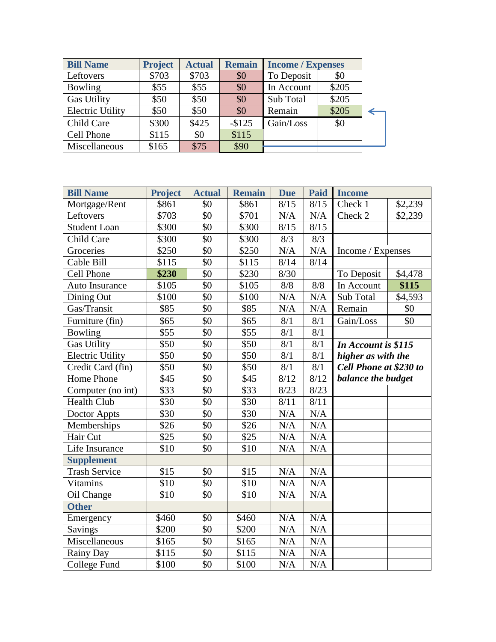| <b>Bill Name</b>        | <b>Project</b> | <b>Actual</b> | <b>Remain</b> | <b>Income</b> / Expenses |       |  |
|-------------------------|----------------|---------------|---------------|--------------------------|-------|--|
| Leftovers               | \$703          | \$703         | \$0           | To Deposit               | \$0   |  |
| <b>Bowling</b>          | \$55           | \$55          | \$0           | In Account               | \$205 |  |
| <b>Gas Utility</b>      | \$50           | \$50          | \$0           | Sub Total                | \$205 |  |
| <b>Electric Utility</b> | \$50           | \$50          | \$0           | Remain                   | \$205 |  |
| Child Care              | \$300          | \$425         | $-$125$       | Gain/Loss                | \$0   |  |
| Cell Phone              | \$115          | \$0           | \$115         |                          |       |  |
| Miscellaneous           | \$165          | \$75          | \$90          |                          |       |  |

| <b>Bill Name</b>        | <b>Project</b>    | <b>Actual</b>   | <b>Remain</b>    | <b>Due</b> | <b>Paid</b> | <b>Income</b>          |         |
|-------------------------|-------------------|-----------------|------------------|------------|-------------|------------------------|---------|
| Mortgage/Rent           | \$861             | \$0             | \$861            | 8/15       | 8/15        | Check 1                | \$2,239 |
| Leftovers               | \$703             | \$0             | \$701            | N/A        | N/A         | Check 2                | \$2,239 |
| <b>Student Loan</b>     | \$300             | \$0             | \$300            | 8/15       | 8/15        |                        |         |
| Child Care              | \$300             | \$0             | \$300            | 8/3        | 8/3         |                        |         |
| Groceries               | \$250             | \$0             | \$250            | N/A        | N/A         | Income / Expenses      |         |
| Cable Bill              | \$115             | $\overline{50}$ | \$115            | 8/14       | 8/14        |                        |         |
| <b>Cell Phone</b>       | \$230             | \$0             | \$230            | 8/30       |             | To Deposit             | \$4,478 |
| Auto Insurance          | \$105             | \$0             | \$105            | 8/8        | 8/8         | In Account             | \$115   |
| Dining Out              | \$100             | \$0             | \$100            | N/A        | N/A         | Sub Total              | \$4,593 |
| Gas/Transit             | \$85              | \$0             | \$85             | N/A        | N/A         | Remain                 | \$0     |
| Furniture (fin)         | \$65              | \$0             | \$65             | 8/1        | 8/1         | Gain/Loss              | \$0     |
| Bowling                 | \$55              | \$0             | \$55             | 8/1        | 8/1         |                        |         |
| <b>Gas Utility</b>      | \$50              | \$0             | \$50             | 8/1        | 8/1         | In Account is \$115    |         |
| <b>Electric Utility</b> | \$50              | \$0             | $\overline{$}50$ | 8/1        | 8/1         | higher as with the     |         |
| Credit Card (fin)       | $\overline{\$}50$ | \$0             | \$50             | 8/1        | 8/1         | Cell Phone at \$230 to |         |
| <b>Home Phone</b>       | \$45              | \$0             | \$45             | 8/12       | 8/12        | balance the budget     |         |
| Computer (no int)       | \$33              | \$0             | \$33             | 8/23       | 8/23        |                        |         |
| <b>Health Club</b>      | $\overline{$}30$  | \$0             | \$30             | 8/11       | 8/11        |                        |         |
| Doctor Appts            | \$30              | \$0             | \$30             | N/A        | N/A         |                        |         |
| Memberships             | \$26              | \$0             | \$26             | N/A        | N/A         |                        |         |
| Hair Cut                | \$25              | $\overline{50}$ | $\overline{$}25$ | N/A        | N/A         |                        |         |
| Life Insurance          | \$10              | \$0             | \$10             | N/A        | N/A         |                        |         |
| <b>Supplement</b>       |                   |                 |                  |            |             |                        |         |
| <b>Trash Service</b>    | \$15              | \$0             | \$15             | N/A        | N/A         |                        |         |
| Vitamins                | \$10              | \$0             | \$10             | N/A        | N/A         |                        |         |
| Oil Change              | \$10              | \$0             | \$10             | N/A        | N/A         |                        |         |
| <b>Other</b>            |                   |                 |                  |            |             |                        |         |
| Emergency               | \$460             | \$0             | \$460            | N/A        | N/A         |                        |         |
| Savings                 | \$200             | \$0             | \$200            | N/A        | N/A         |                        |         |
| Miscellaneous           | \$165             | \$0             | \$165            | N/A        | N/A         |                        |         |
| Rainy Day               | \$115             | \$0             | \$115            | $\rm N/A$  | N/A         |                        |         |
| College Fund            | \$100             | \$0             | \$100            | N/A        | N/A         |                        |         |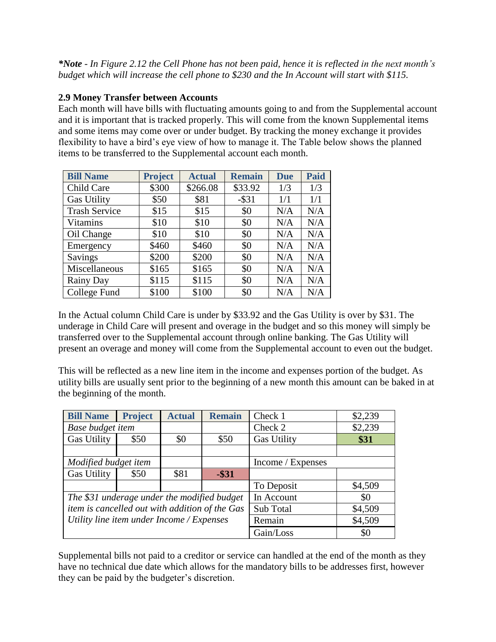*\*Note - In Figure 2.12 the Cell Phone has not been paid, hence it is reflected in the next month's budget which will increase the cell phone to \$230 and the In Account will start with \$115.*

# **2.9 Money Transfer between Accounts**

Each month will have bills with fluctuating amounts going to and from the Supplemental account and it is important that is tracked properly. This will come from the known Supplemental items and some items may come over or under budget. By tracking the money exchange it provides flexibility to have a bird's eye view of how to manage it. The Table below shows the planned items to be transferred to the Supplemental account each month.

| <b>Bill Name</b>     | <b>Project</b> | <b>Actual</b> | <b>Remain</b> | <b>Due</b> | <b>Paid</b> |
|----------------------|----------------|---------------|---------------|------------|-------------|
| Child Care           | \$300          | \$266.08      | \$33.92       | 1/3        | 1/3         |
| <b>Gas Utility</b>   | \$50           | \$81          | $-$ \$31      | 1/1        | 1/1         |
| <b>Trash Service</b> | \$15           | \$15          | \$0           | N/A        | N/A         |
| <b>Vitamins</b>      | \$10           | \$10          | \$0           | N/A        | N/A         |
| Oil Change           | \$10           | \$10          | \$0           | N/A        | N/A         |
| Emergency            | \$460          | \$460         | \$0           | N/A        | N/A         |
| Savings              | \$200          | \$200         | \$0           | N/A        | N/A         |
| Miscellaneous        | \$165          | \$165         | \$0           | N/A        | N/A         |
| Rainy Day            | \$115          | \$115         | \$0           | N/A        | N/A         |
| College Fund         | \$100          | \$100         | \$0           | N/A        | N/A         |

In the Actual column Child Care is under by \$33.92 and the Gas Utility is over by \$31. The underage in Child Care will present and overage in the budget and so this money will simply be transferred over to the Supplemental account through online banking. The Gas Utility will present an overage and money will come from the Supplemental account to even out the budget.

This will be reflected as a new line item in the income and expenses portion of the budget. As utility bills are usually sent prior to the beginning of a new month this amount can be baked in at the beginning of the month.

| <b>Bill Name</b>                               | <b>Project</b> | <b>Actual</b> | <b>Remain</b> | Check 1            | \$2,239 |
|------------------------------------------------|----------------|---------------|---------------|--------------------|---------|
| Base budget item                               |                |               |               | Check 2            | \$2,239 |
| <b>Gas Utility</b>                             | \$50           | \$0           | \$50          | <b>Gas Utility</b> | \$31    |
|                                                |                |               |               |                    |         |
| Modified budget item                           |                |               |               | Income / Expenses  |         |
| <b>Gas Utility</b>                             | \$50           | \$81          | $-$ \$31      |                    |         |
|                                                |                |               |               | To Deposit         | \$4,509 |
| The \$31 underage under the modified budget    |                |               |               | In Account         | \$0     |
| item is cancelled out with addition of the Gas |                |               |               | Sub Total          | \$4,509 |
| Utility line item under Income / Expenses      |                |               | Remain        | \$4,509            |         |
|                                                |                |               |               | Gain/Loss          | \$0     |

Supplemental bills not paid to a creditor or service can handled at the end of the month as they have no technical due date which allows for the mandatory bills to be addresses first, however they can be paid by the budgeter's discretion.